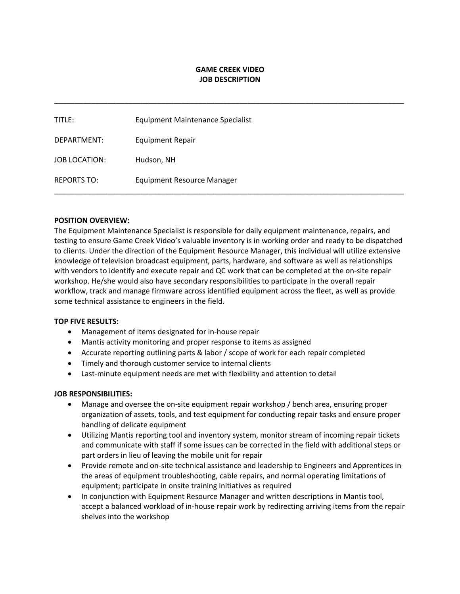## **GAME CREEK VIDEO JOB DESCRIPTION**

\_\_\_\_\_\_\_\_\_\_\_\_\_\_\_\_\_\_\_\_\_\_\_\_\_\_\_\_\_\_\_\_\_\_\_\_\_\_\_\_\_\_\_\_\_\_\_\_\_\_\_\_\_\_\_\_\_\_\_\_\_\_\_\_\_\_\_\_\_\_\_\_\_\_\_\_\_\_\_\_\_\_\_\_\_

| TITLE:             | Equipment Maintenance Specialist  |
|--------------------|-----------------------------------|
| DEPARTMENT:        | <b>Equipment Repair</b>           |
| JOB LOCATION:      | Hudson, NH                        |
| <b>REPORTS TO:</b> | <b>Equipment Resource Manager</b> |

### **POSITION OVERVIEW:**

The Equipment Maintenance Specialist is responsible for daily equipment maintenance, repairs, and testing to ensure Game Creek Video's valuable inventory is in working order and ready to be dispatched to clients. Under the direction of the Equipment Resource Manager, this individual will utilize extensive knowledge of television broadcast equipment, parts, hardware, and software as well as relationships with vendors to identify and execute repair and QC work that can be completed at the on-site repair workshop. He/she would also have secondary responsibilities to participate in the overall repair workflow, track and manage firmware across identified equipment across the fleet, as well as provide some technical assistance to engineers in the field.

#### **TOP FIVE RESULTS:**

- Management of items designated for in-house repair
- Mantis activity monitoring and proper response to items as assigned
- Accurate reporting outlining parts & labor / scope of work for each repair completed
- Timely and thorough customer service to internal clients
- Last-minute equipment needs are met with flexibility and attention to detail

#### **JOB RESPONSIBILITIES:**

- Manage and oversee the on-site equipment repair workshop / bench area, ensuring proper organization of assets, tools, and test equipment for conducting repair tasks and ensure proper handling of delicate equipment
- Utilizing Mantis reporting tool and inventory system, monitor stream of incoming repair tickets and communicate with staff if some issues can be corrected in the field with additional steps or part orders in lieu of leaving the mobile unit for repair
- Provide remote and on-site technical assistance and leadership to Engineers and Apprentices in the areas of equipment troubleshooting, cable repairs, and normal operating limitations of equipment; participate in onsite training initiatives as required
- In conjunction with Equipment Resource Manager and written descriptions in Mantis tool, accept a balanced workload of in-house repair work by redirecting arriving items from the repair shelves into the workshop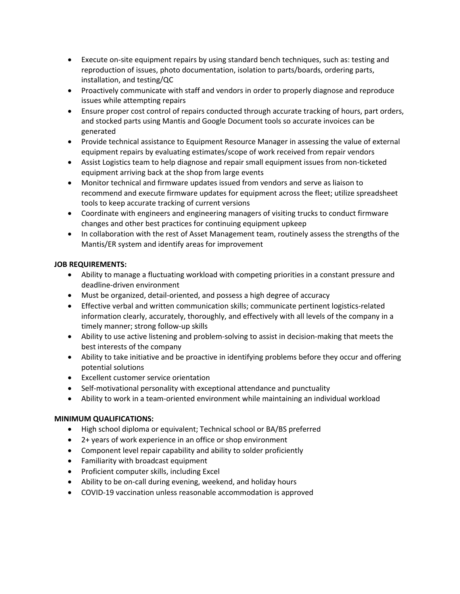- Execute on-site equipment repairs by using standard bench techniques, such as: testing and reproduction of issues, photo documentation, isolation to parts/boards, ordering parts, installation, and testing/QC
- Proactively communicate with staff and vendors in order to properly diagnose and reproduce issues while attempting repairs
- Ensure proper cost control of repairs conducted through accurate tracking of hours, part orders, and stocked parts using Mantis and Google Document tools so accurate invoices can be generated
- Provide technical assistance to Equipment Resource Manager in assessing the value of external equipment repairs by evaluating estimates/scope of work received from repair vendors
- Assist Logistics team to help diagnose and repair small equipment issues from non-ticketed equipment arriving back at the shop from large events
- Monitor technical and firmware updates issued from vendors and serve as liaison to recommend and execute firmware updates for equipment across the fleet; utilize spreadsheet tools to keep accurate tracking of current versions
- Coordinate with engineers and engineering managers of visiting trucks to conduct firmware changes and other best practices for continuing equipment upkeep
- In collaboration with the rest of Asset Management team, routinely assess the strengths of the Mantis/ER system and identify areas for improvement

# **JOB REQUIREMENTS:**

- Ability to manage a fluctuating workload with competing priorities in a constant pressure and deadline-driven environment
- Must be organized, detail-oriented, and possess a high degree of accuracy
- Effective verbal and written communication skills; communicate pertinent logistics-related information clearly, accurately, thoroughly, and effectively with all levels of the company in a timely manner; strong follow-up skills
- Ability to use active listening and problem-solving to assist in decision-making that meets the best interests of the company
- Ability to take initiative and be proactive in identifying problems before they occur and offering potential solutions
- Excellent customer service orientation
- Self-motivational personality with exceptional attendance and punctuality
- Ability to work in a team-oriented environment while maintaining an individual workload

# **MINIMUM QUALIFICATIONS:**

- High school diploma or equivalent; Technical school or BA/BS preferred
- 2+ years of work experience in an office or shop environment
- Component level repair capability and ability to solder proficiently
- Familiarity with broadcast equipment
- Proficient computer skills, including Excel
- Ability to be on-call during evening, weekend, and holiday hours
- COVID-19 vaccination unless reasonable accommodation is approved